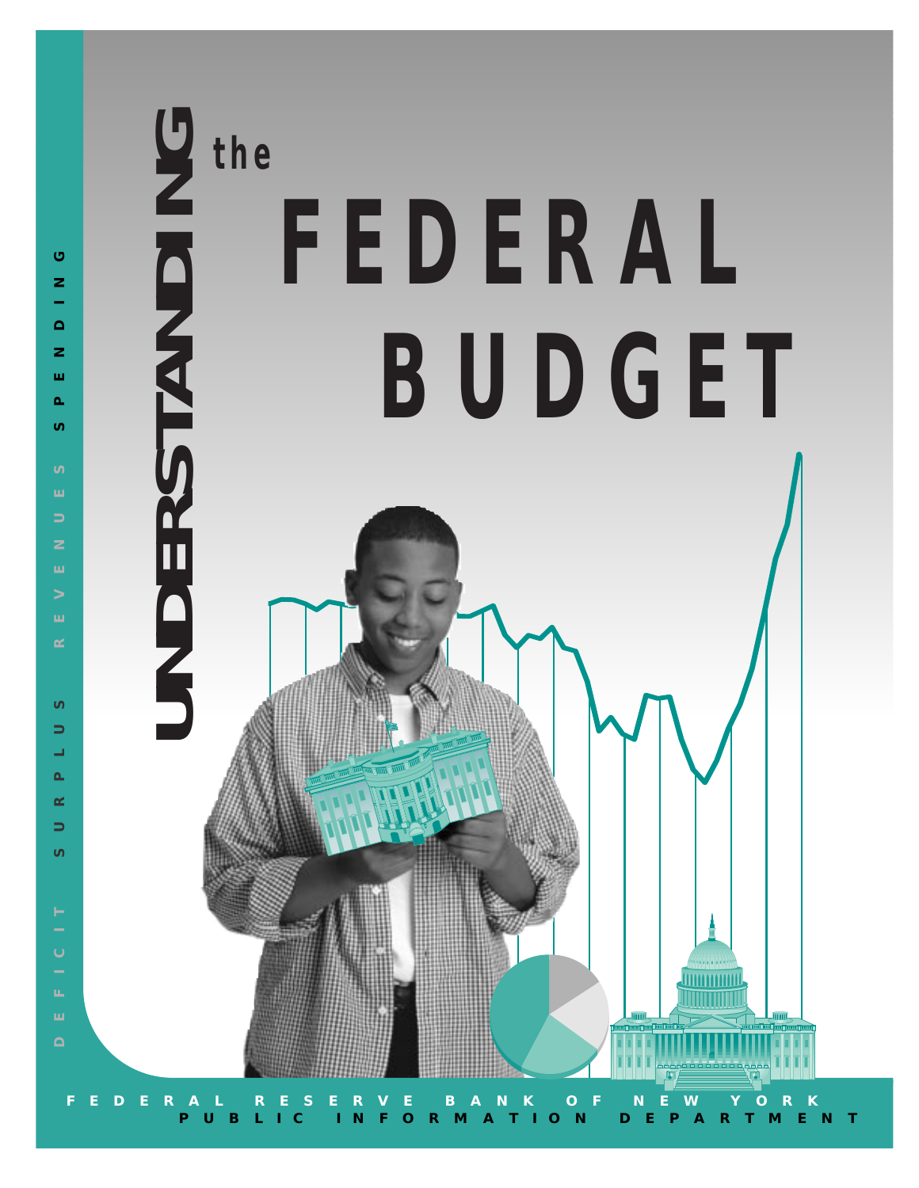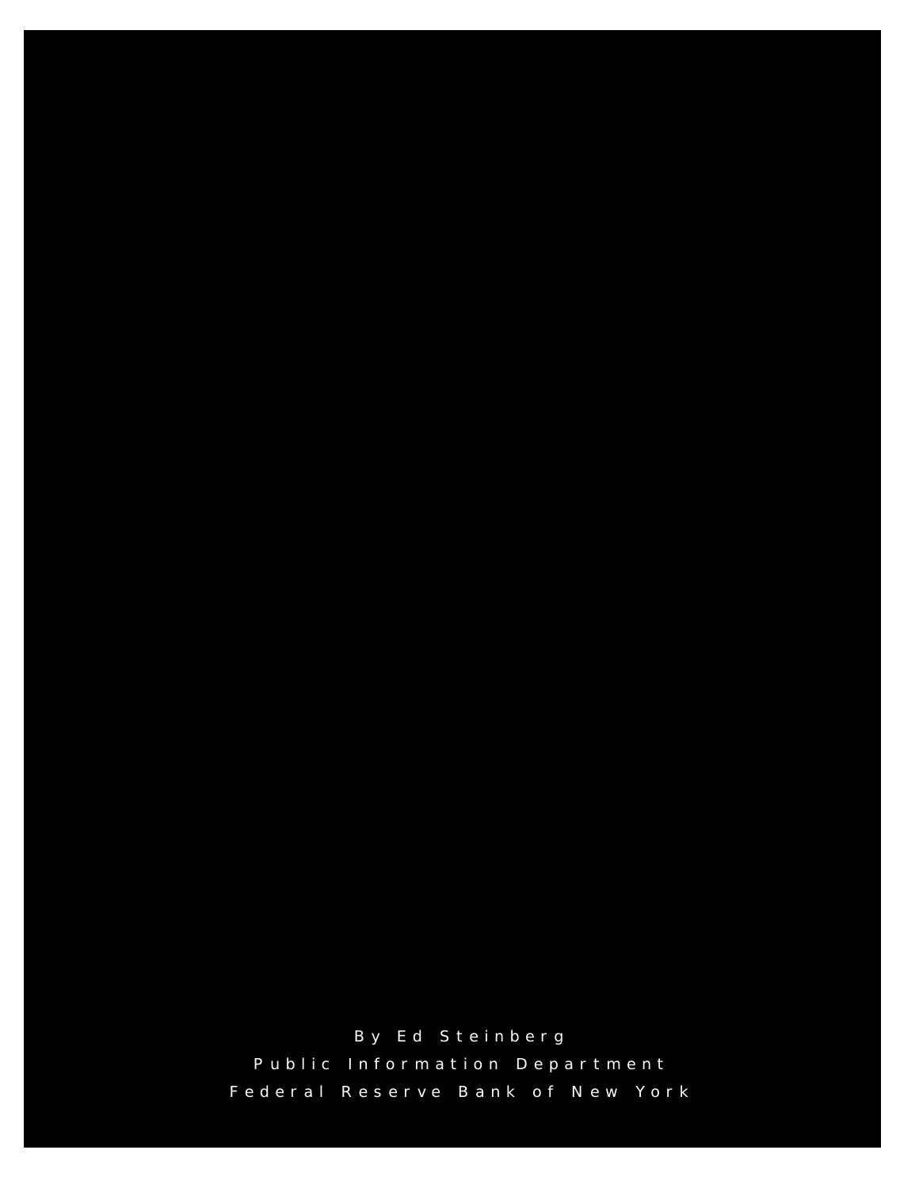By Ed Steinberg Public Information Department Federal Reserve Bank of New York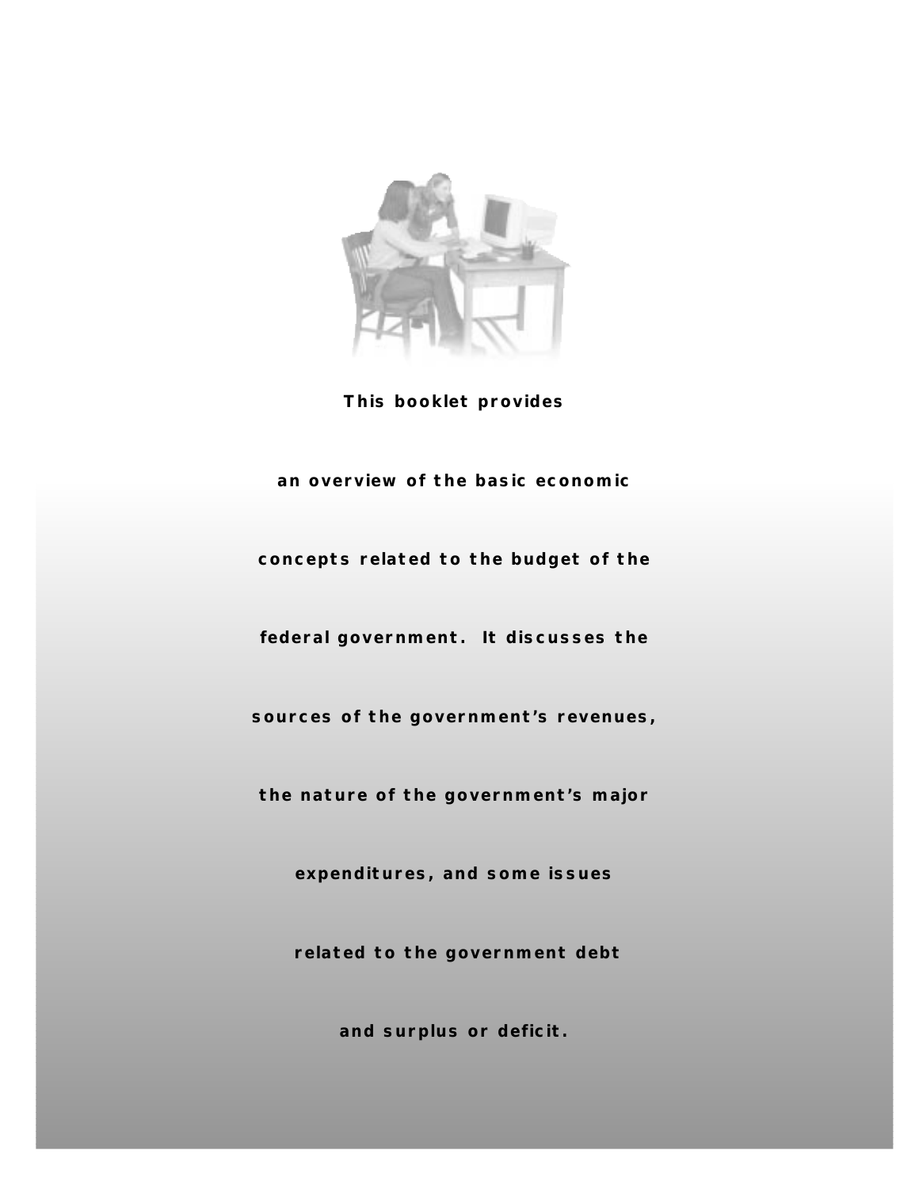

**This booklet provides** 

### **an overview of the basic economic**

**concepts related to the budget of the**

**federal government. It discusses the**

**sources of the government's revenues,**

**the nature of the government's major**

**expenditures, and some issues**

**related to the government debt** 

**and surplus or deficit.**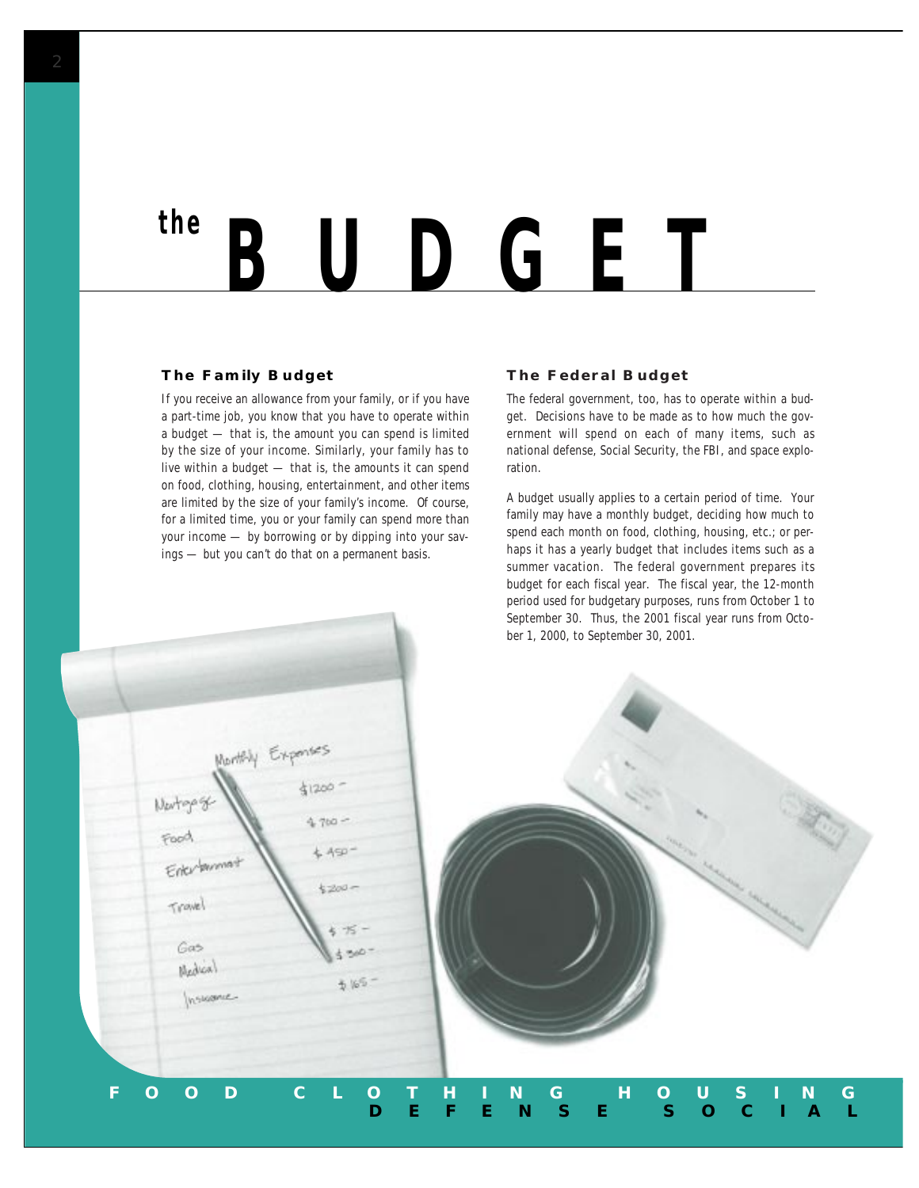## *BUDGET the*

### **The Family Budget**

If you receive an allowance from your family, or if you have a part-time job, you know that you have to operate within a budget — that is, the amount you can spend is limited by the size of your income. Similarly, your family has to live within a budget — that is, the amounts it can spend on food, clothing, housing, entertainment, and other items are limited by the size of your family's income. Of course, for a limited time, you or your family can spend more than your income — by borrowing or by dipping into your savings — but you can't do that on a permanent basis.

#### **The Federal Budget**

The federal government, too, has to operate within a budget. Decisions have to be made as to how much the government will spend on each of many items, such as national defense, Social Security, the FBI, and space exploration.

A budget usually applies to a certain period of time. Your family may have a monthly budget, deciding how much to spend each month on food, clothing, housing, etc.; or perhaps it has a yearly budget that includes items such as a summer vacation. The federal government prepares its budget for each *fiscal* year. The fiscal year, the 12-month period used for budgetary purposes, runs from October 1 to September 30. Thus, the 2001 fiscal year runs from October 1, 2000, to September 30, 2001.

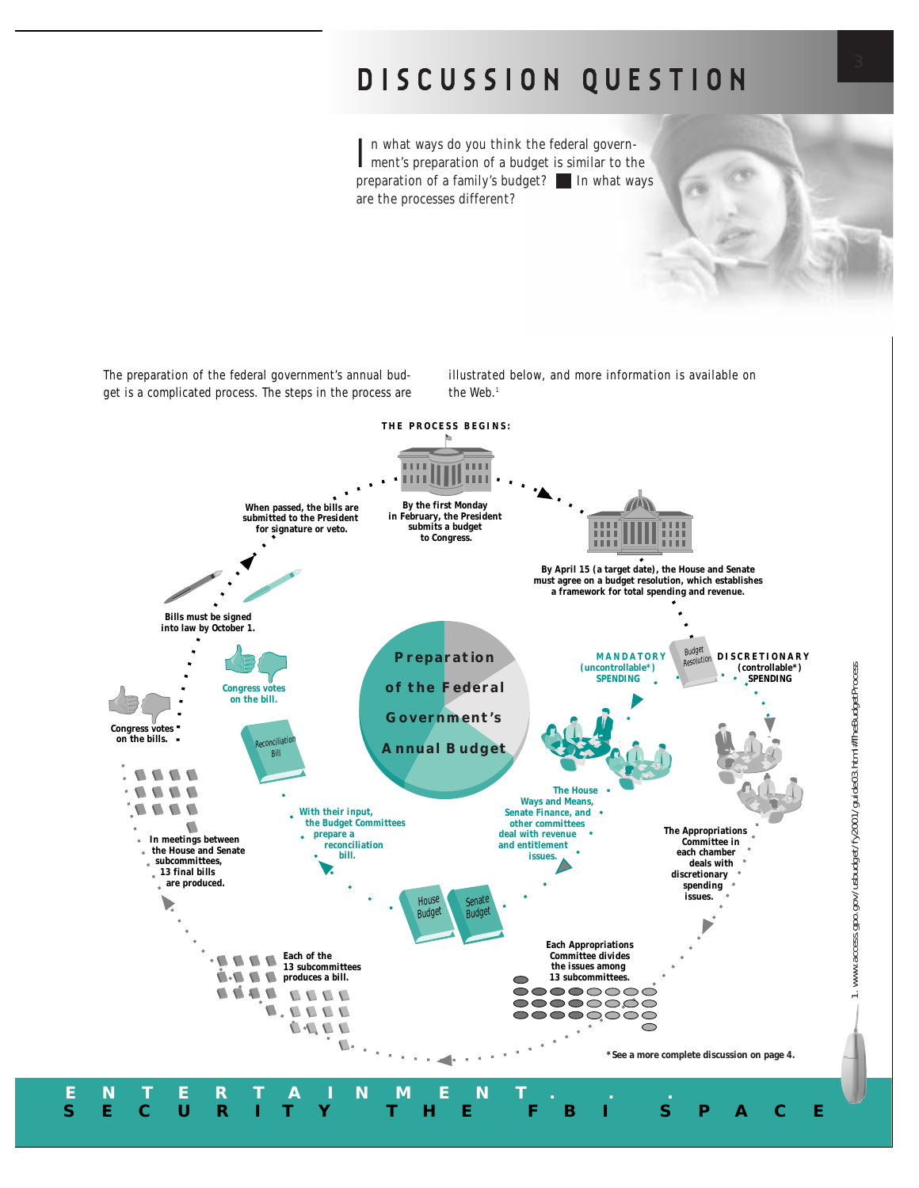## **DISCUSSION QUESTION**

In what ways do you think the federal govern-<br>Iment's preparation of a budget is similar to the n what ways do you think the federal governpreparation of a family's budget? In what ways are the processes different?

The preparation of the federal government's annual budget is a complicated process. The steps in the process are illustrated below, and more information is available on the Web.<sup>1</sup>

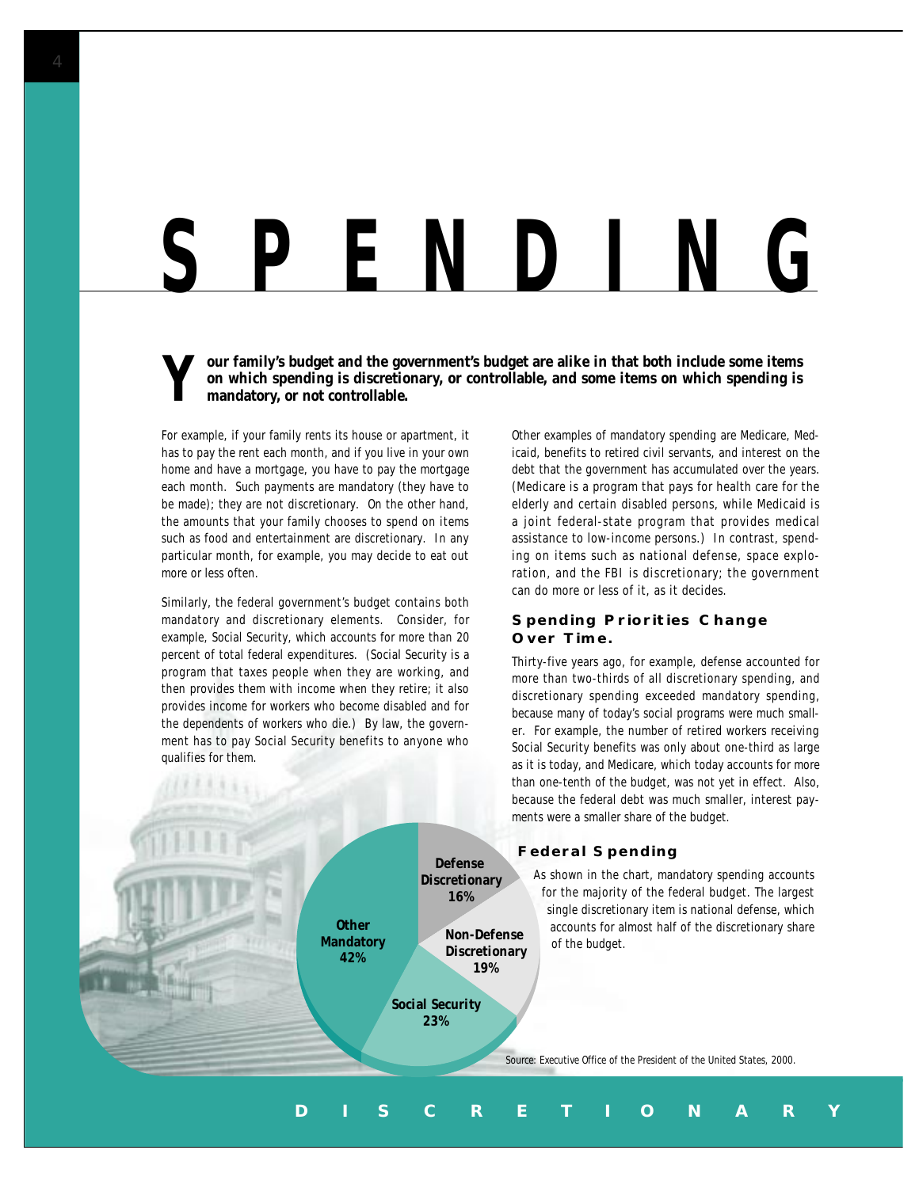## *SPENDING*

**Y** our family's budget and the government's budget are alike in that both include some items<br>on which spending is discretionary, or controllable, and some items on which spending is<br>mandatory, or not controllable. **on which spending is discretionary, or controllable, and some items on which spending is mandatory, or not controllable.** 

For example, if your family rents its house or apartment, it has to pay the rent each month, and if you live in your own home and have a mortgage, you have to pay the mortgage each month. Such payments are mandatory (they have to be made); they are not discretionary. On the other hand, the amounts that your family chooses to spend on items such as food and entertainment are discretionary. In any particular month, for example, you may decide to eat out more or less often.

Similarly, the federal government's budget contains both mandatory and discretionary elements. Consider, for example, Social Security, which accounts for more than 20 percent of total federal expenditures. (Social Security is a program that taxes people when they are working, and then provides them with income when they retire; it also provides income for workers who become disabled and for the dependents of workers who die.) By law, the government has to pay Social Security benefits to anyone who qualifies for them.

Other examples of mandatory spending are Medicare, Medicaid, benefits to retired civil servants, and interest on the debt that the government has accumulated over the years. (Medicare is a program that pays for health care for the elderly and certain disabled persons, while Medicaid is a joint federal-state program that provides medical assistance to low-income persons.) In contrast, spending on items such as national defense, space exploration, and the FBI is discretionary; the government can do more or less of it, as it decides.

#### **Spending Priorities Change Over Time.**

Thirty-five years ago, for example, defense accounted for more than two-thirds of all discretionary spending, and discretionary spending exceeded mandatory spending, because many of today's social programs were much smaller. For example, the number of retired workers receiving Social Security benefits was only about one-third as large as it is today, and Medicare, which today accounts for more than one-tenth of the budget, was not yet in effect. Also, because the federal debt was much smaller, interest payments were a smaller share of the budget.

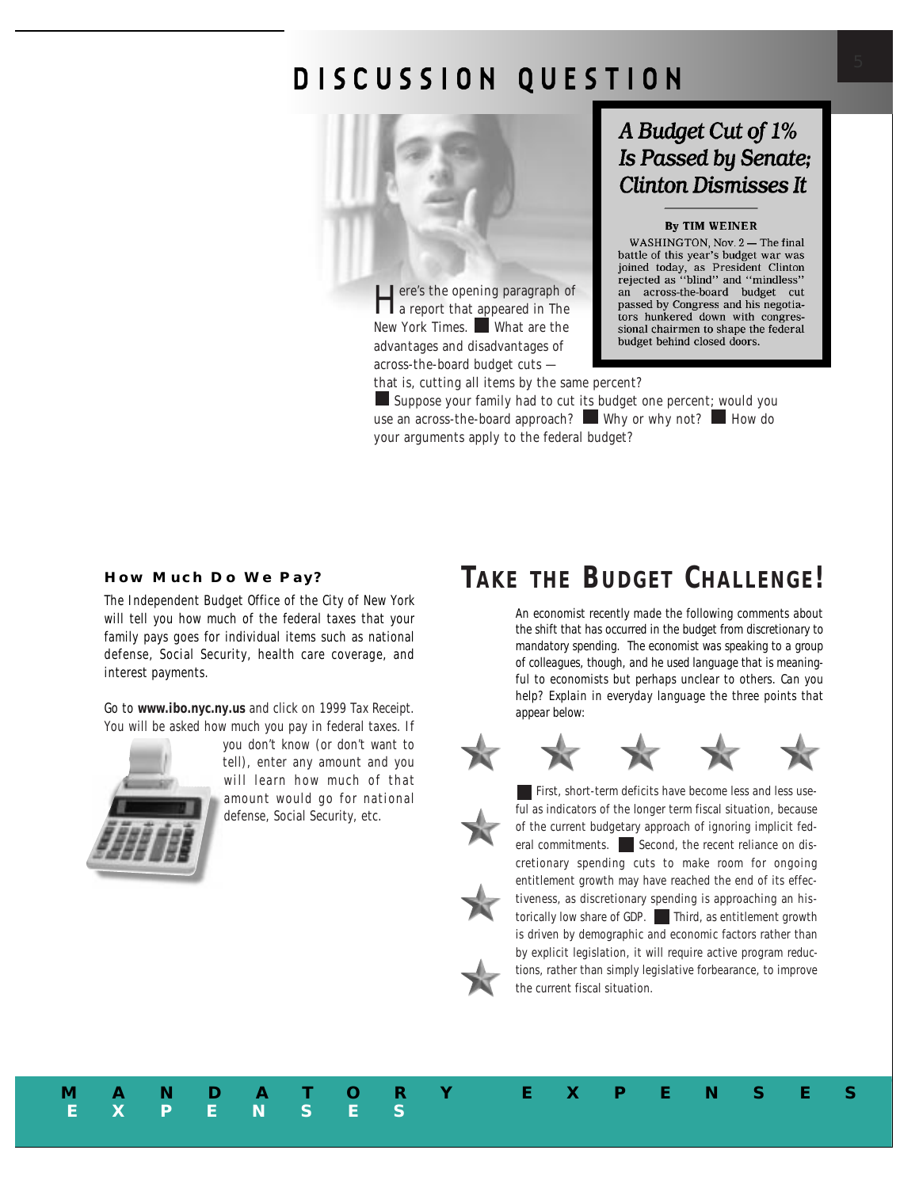## **DISCUSSION QUESTION**



Here's the opening paragraph of<br>a report that appeared in The<br>wide with the contract of the contract of the contract of the contract of the contract of the contract of the<br>wide of the contract of the contract of the contra New York Times. What are the advantages and disadvantages of across-the-board budget cuts —

that is, cutting all items by the same percent?

Suppose your family had to cut its budget one percent; would you use an across-the-board approach? Why or why not? How do your arguments apply to the federal budget?

## A Budget Cut of 1% **Is Passed by Senate; Clinton Dismisses It**

### **By TIM WEINER**

WASHINGTON, Nov. 2-The final battle of this year's budget war was joined today, as President Clinton<br>rejected as "blind" and "mindless" an across-the-board budget cut passed by Congress and his negotiators hunkered down with congressional chairmen to shape the federal budget behind closed doors.

#### **How Much Do We Pay?**

The Independent Budget Office of the City of New York will tell you how much of the federal taxes that your family pays goes for individual items such as national defense, Social Security, health care coverage, and interest payments.

Go to **www.ibo.nyc.ny.us** and click on *1999 Tax Receipt.* You will be asked how much you pay in federal taxes. If

**EXPENSES**



you don't know (or don't want to tell), enter any amount and you will learn how much of that amount would go for national defense, Social Security, etc.

## *TAKE THE BUDGET CHALLENGE!*

*An economist recently made the following comments about the shift that has occurred in the budget from discretionary to mandatory spending. The economist was speaking to a group of colleagues, though, and he used language that is meaningful to economists but perhaps unclear to others. Can you help? Explain in everyday language the three points that appear below:*



**MANDATORY EXPENSES**



First, short-term deficits have become less and less useful as indicators of the longer term fiscal situation, because of the current budgetary approach of ignoring implicit federal commitments.  $\Box$  Second, the recent reliance on discretionary spending cuts to *make room* for ongoing entitlement growth may have reached the end of its effectiveness, as discretionary spending is approaching an historically low share of GDP. Third, as entitlement growth is driven by demographic and economic factors rather than by explicit legislation, it will require active program *reductions*, rather than simply legislative forbearance, to improve the current fiscal situation.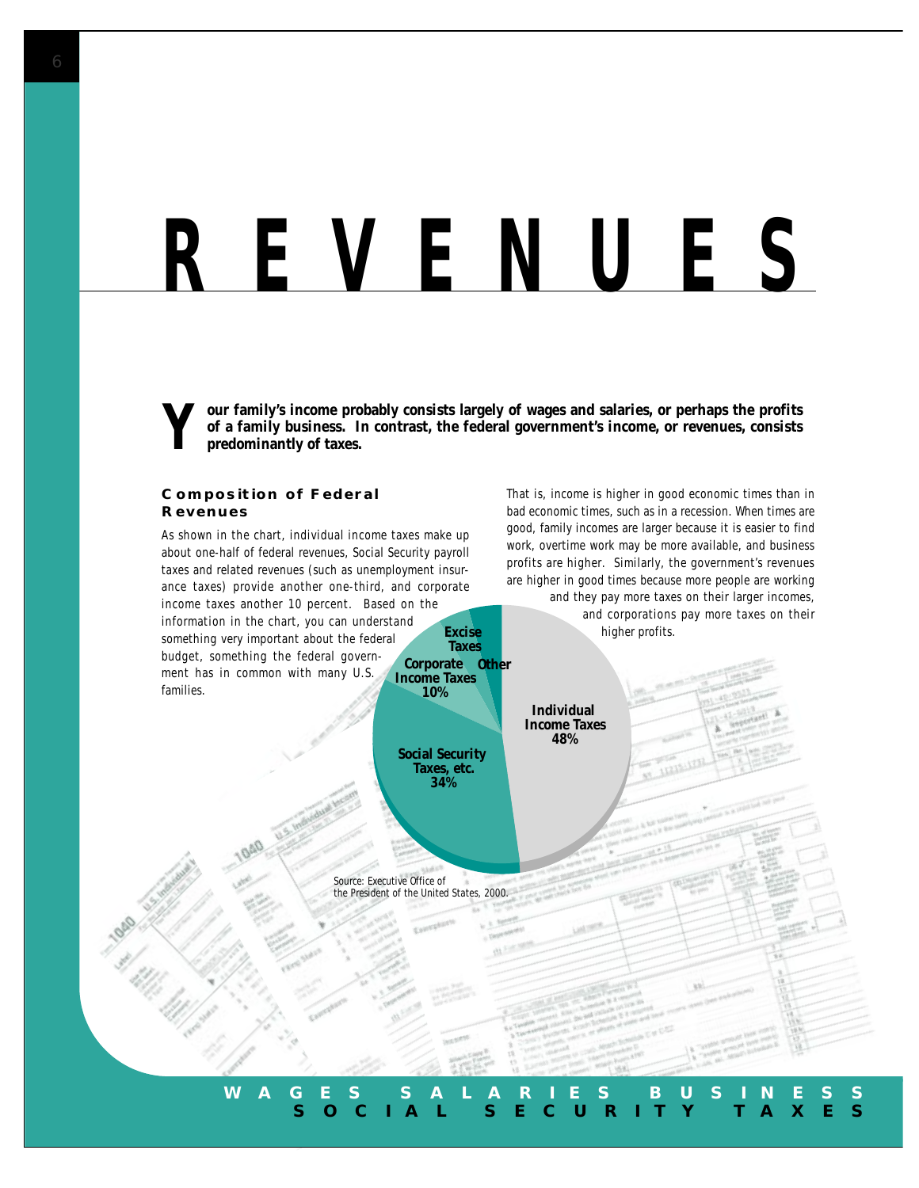## *REVENUES*

**Y** our family's income probably consists largely of wages and salaries, or perhaps the profits of a family business. In contrast, the federal government's income, or revenues, consists predominantly of taxes. **of a family business. In contrast, the federal government's income, or revenues, consists predominantly of taxes.**

### **Composition of Federal Revenues**

As shown in the chart, individual income taxes make up about one-half of federal revenues, Social Security payroll taxes and related revenues (such as unemployment insurance taxes) provide another one-third, and corporate income taxes another 10 percent. Based on the information in the chart, you can understand something very important about the federal budget, something the federal government has in common with many U.S. families. **Other Corporate Excise Taxes Income Taxes 10%**

> **Social Security Taxes, etc. 34%**

That is, income is higher in good economic times than in bad economic times, such as in a recession. When times are good, family incomes are larger because it is easier to find work, overtime work may be more available, and business profits are higher. Similarly, the government's revenues are higher in good times because more people are working and they pay more taxes on their larger incomes,

and corporations pay more taxes on their higher profits.

*Source: Executive Office of the President of the United States, 2000.*

### **WAGES SALARIES BUSINESS SOCIAL SECURITY TAXES**

**Individual Income Taxes 48%**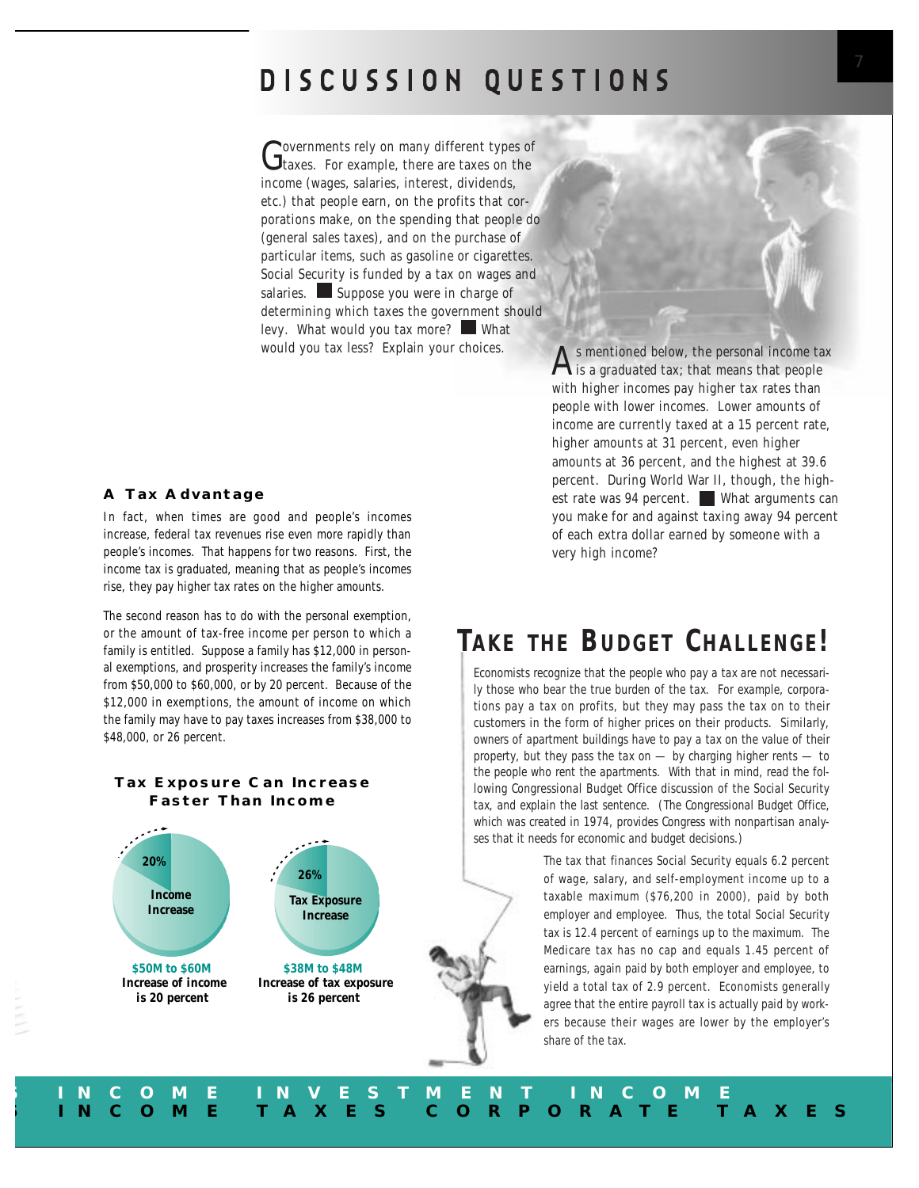## **DISCUSSION QUESTIONS**

Governments rely on many different types of<br> **G** taxes. For example, there are taxes on the income (wages, salaries, interest, dividends, etc.) that people earn, on the profits that corporations make, on the spending that people do (general sales taxes), and on the purchase of particular items, such as gasoline or cigarettes. Social Security is funded by a tax on wages and salaries. Suppose you were in charge of determining which taxes the government should levy. What would you tax more? What

### **A Tax Advantage**

In fact, when times are good and people's incomes increase, federal tax revenues rise even more rapidly than people's incomes. That happens for two reasons. First, the income tax is *graduated*, meaning that as people's incomes rise, they pay higher tax rates on the higher amounts.

The second reason has to do with the personal exemption, or the amount of tax-free income per person to which a family is entitled. Suppose a family has \$12,000 in personal exemptions, and prosperity increases the family's income from \$50,000 to \$60,000, or by 20 percent. Because of the \$12,000 in exemptions, the amount of income on which the family may have to pay taxes increases from \$38,000 to \$48,000, or 26 percent.

### **Tax Exposure Can Increase Faster Than Income**



would you tax less? Explain your choices.<br>
As mentioned below, the personal income tax<br>
is a *graduated* tax; that means that people with higher incomes pay higher tax rates than people with lower incomes. Lower amounts of income are currently taxed at a 15 percent rate, higher amounts at 31 percent, even higher amounts at 36 percent, and the highest at 39.6 percent. During World War II, though, the highest rate was 94 percent. What arguments can you make for and against taxing away 94 percent of each extra dollar earned by someone with a very high income?

## *TAKE THE BUDGET CHALLENGE!*

*Economists recognize that the people who pay a tax are not necessarily those who bear the true burden of the tax. For example, corporations pay a tax on profits, but they may pass the tax on to their customers in the form of higher prices on their products. Similarly, owners of apartment buildings have to pay a tax on the value of their property, but they pass the tax on — by charging higher rents — to the people who rent the apartments. With that in mind, read the following Congressional Budget Office discussion of the Social Security tax, and explain the last sentence. (The Congressional Budget Office, which was created in 1974, provides Congress with nonpartisan analyses that it needs for economic and budget decisions.)*

> The tax that finances Social Security equals 6.2 percent of wage, salary, and self-employment income up to a taxable maximum (\$76,200 in 2000), paid by both employer and employee. Thus, the total Social Security tax is 12.4 percent of earnings up to the maximum. The Medicare tax has no cap and equals 1.45 percent of earnings, again paid by both employer and employee, to yield a total tax of 2.9 percent. Economists generally agree that the entire payroll tax is actually paid by workers because their wages are lower by the employer's share of the tax.

**S INCOME INVESTMENT INCOME S INCOME TAXES CORPORATE TAXES**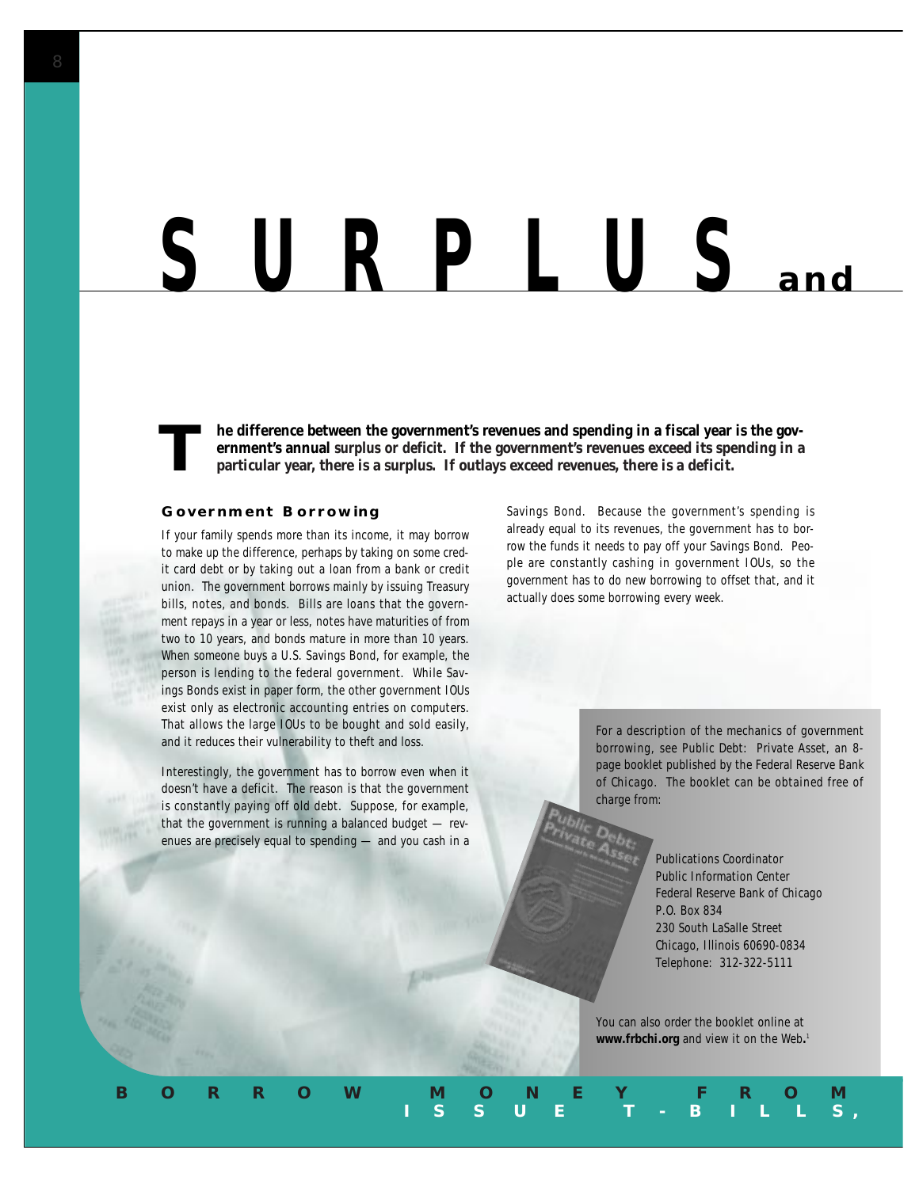## *SURPLUS* **and**

**The difference between the government's revenues and spending in a fiscal year is the government's annual** *surplus or deficit***. If the government's revenues exceed its spending in a particular year, there is a surplus. If ernment's annual** *surplus or deficit***. If the government's revenues exceed its spending in a particular year, there is a surplus. If outlays exceed revenues, there is a deficit.**

**BORROW MONEY FROM** 

#### **Government Borrowing**

If your family spends more than its income, it may borrow to make up the difference, perhaps by taking on some credit card debt or by taking out a loan from a bank or credit union. The government borrows mainly by issuing Treasury bills, notes, and bonds. Bills are loans that the government repays in a year or less, notes have maturities of from two to 10 years, and bonds mature in more than 10 years. When someone buys a U.S. Savings Bond, for example, the person is lending to the federal government. While Savings Bonds exist in paper form, the other government IOUs exist only as electronic accounting entries on computers. That allows the large IOUs to be bought and sold easily, and it reduces their vulnerability to theft and loss.

Interestingly, the government has to borrow even when it doesn't have a deficit. The reason is that the government is constantly paying off old debt. Suppose, for example, that the government is running a balanced budget — revenues are precisely equal to spending — and you cash in a

Savings Bond. Because the government's spending is already equal to its revenues, the government has to borrow the funds it needs to pay off your Savings Bond. People are constantly cashing in government IOUs, so the government has to do new borrowing to offset that, and it actually does some borrowing every week.

> For a description of the mechanics of government borrowing, see *Public Debt: Private Asset*, an 8 page booklet published by the Federal Reserve Bank of Chicago. The booklet can be obtained free of charge from:

> > Publications Coordinator Public Information Center Federal Reserve Bank of Chicago P.O. Box 834 230 South LaSalle Street Chicago, Illinois 60690-0834 Telephone: 312-322-5111

You can also order the booklet online at **www.frbchi.org** and view it on the Web**.** 1

**I S S U E T - B I L L S,**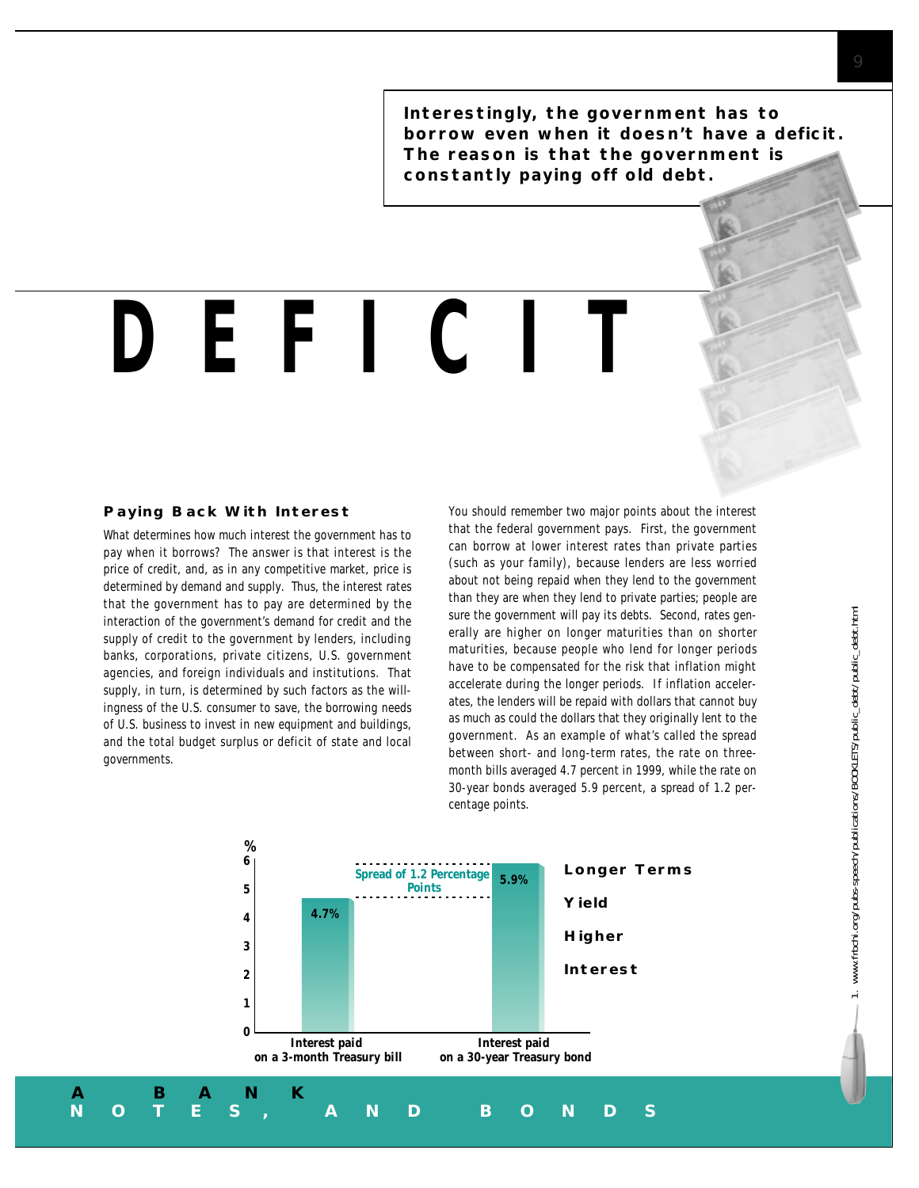**Interestingly, the government has to borrow even when it doesn't have a deficit. The reason is that the government is constantly paying off old debt.** 

## *DEFICIT*

#### **Paying Back With Interest**

What determines how much interest the government has to pay when it borrows? The answer is that interest is the price of credit, and, as in any competitive market, price is determined by demand and supply. Thus, the interest rates that the government has to pay are determined by the interaction of the government's demand for credit and the supply of credit to the government by lenders, including banks, corporations, private citizens, U.S. government agencies, and foreign individuals and institutions. That supply, in turn, is determined by such factors as the willingness of the U.S. consumer to save, the borrowing needs of U.S. business to invest in new equipment and buildings, and the total budget surplus or deficit of state and local governments.

You should remember two major points about the interest that the federal government pays. First, the government can borrow at lower interest rates than private parties (such as your family), because lenders are less worried about not being repaid when they lend to the government than they are when they lend to private parties; people are sure the government will pay its debts. Second, rates generally are higher on longer maturities than on shorter maturities, because people who lend for longer periods have to be compensated for the risk that inflation might accelerate during the longer periods. If inflation accelerates, the lenders will be repaid with dollars that cannot buy as much as could the dollars that they originally lent to the government. As an example of what's called the *spread* between short- and long-term rates, the rate on threemonth bills averaged 4.7 percent in 1999, while the rate on 30-year bonds averaged 5.9 percent, a *spread* of 1.2 percentage points.

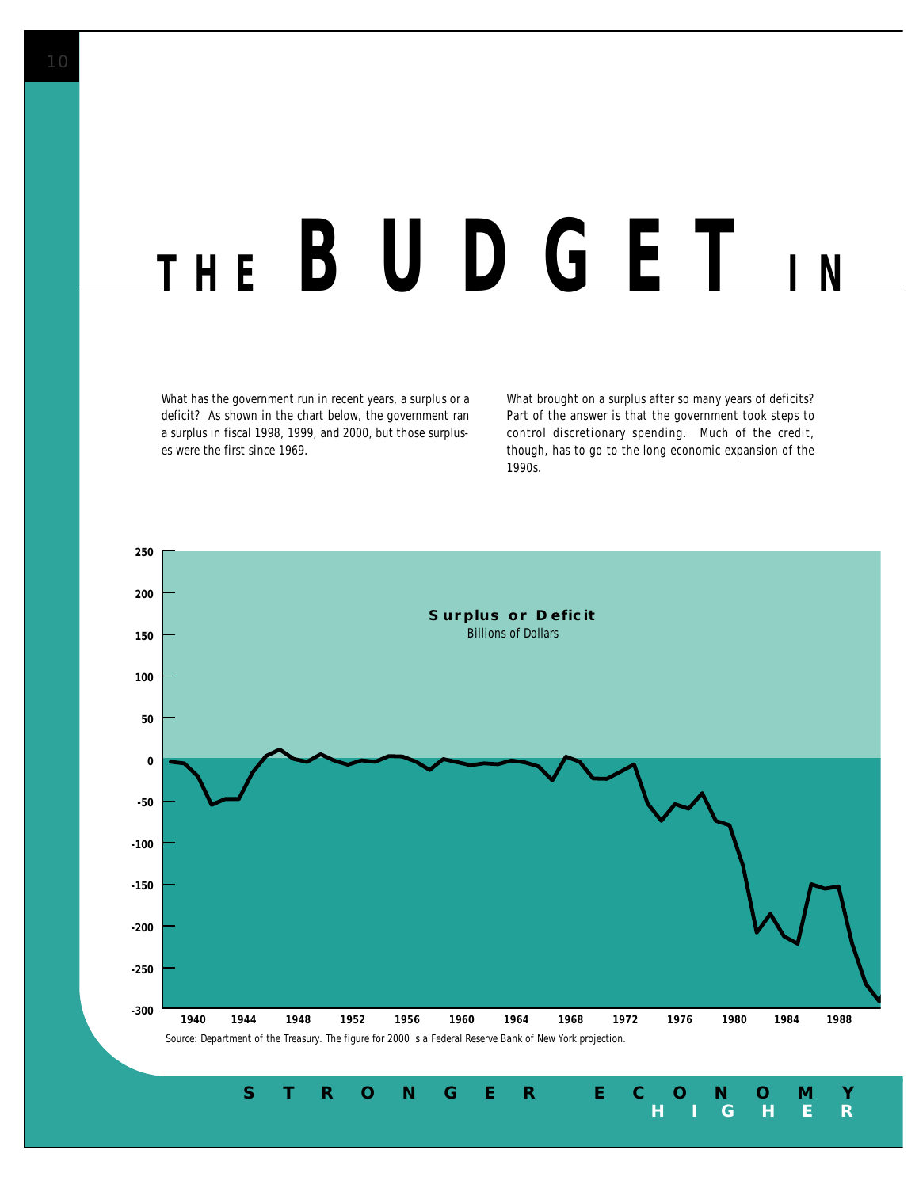## *THE BUDGET I N*

What has the government run in recent years, a surplus or a deficit? As shown in the chart below, the government ran a surplus in fiscal 1998, 1999, and 2000, but those surpluses were the first since 1969.

What brought on a surplus after so many years of deficits? Part of the answer is that the government took steps to control discretionary spending. Much of the credit, though, has to go to the long economic expansion of the 1990s.

**HIGHER** 

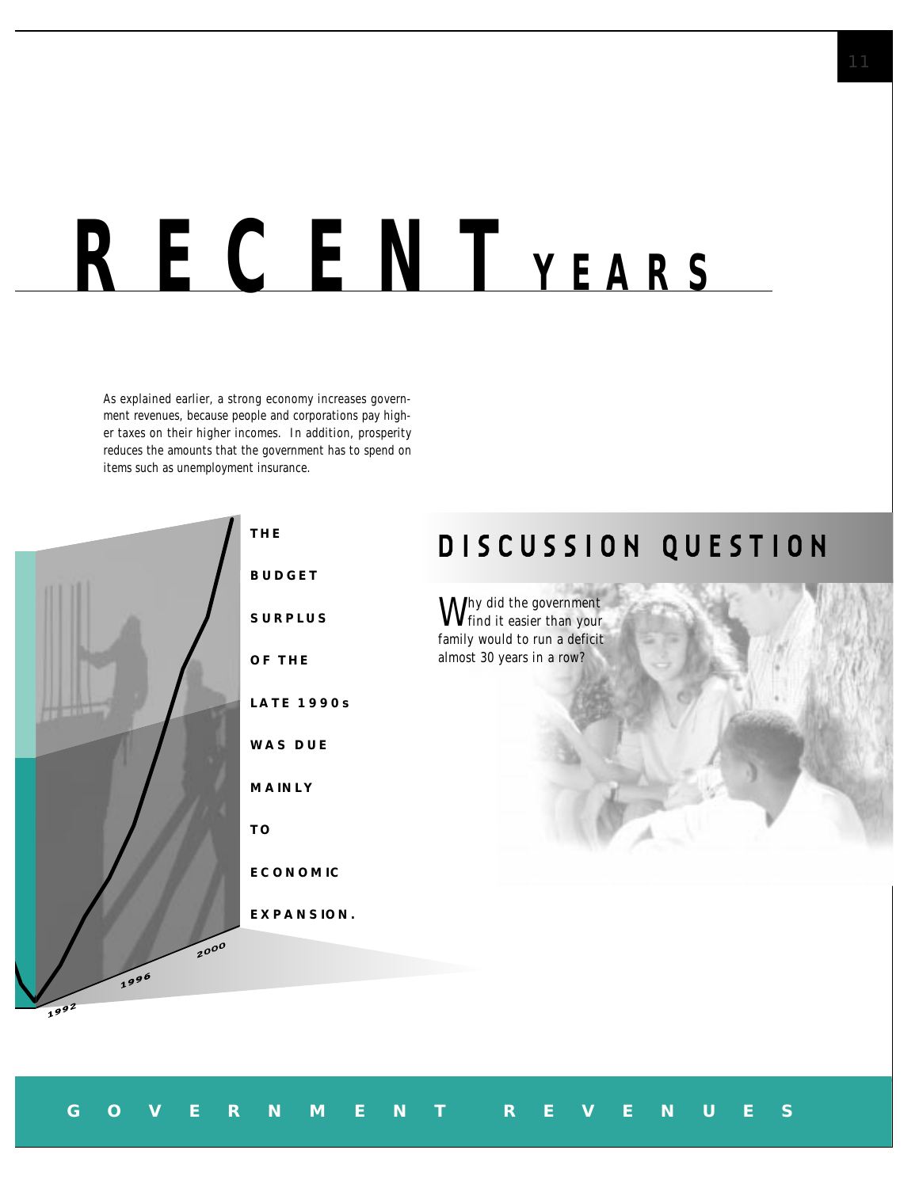## *RECENT YEARS*

 **GOVERNMENT REVENUES**

As explained earlier, a strong economy increases government revenues, because people and corporations pay higher taxes on their higher incomes. In addition, prosperity reduces the amounts that the government has to spend on items such as unemployment insurance.



## **DISCUSSION QUESTION**

Why did the government find it easier than your family would to run a deficit almost 30 years in a row?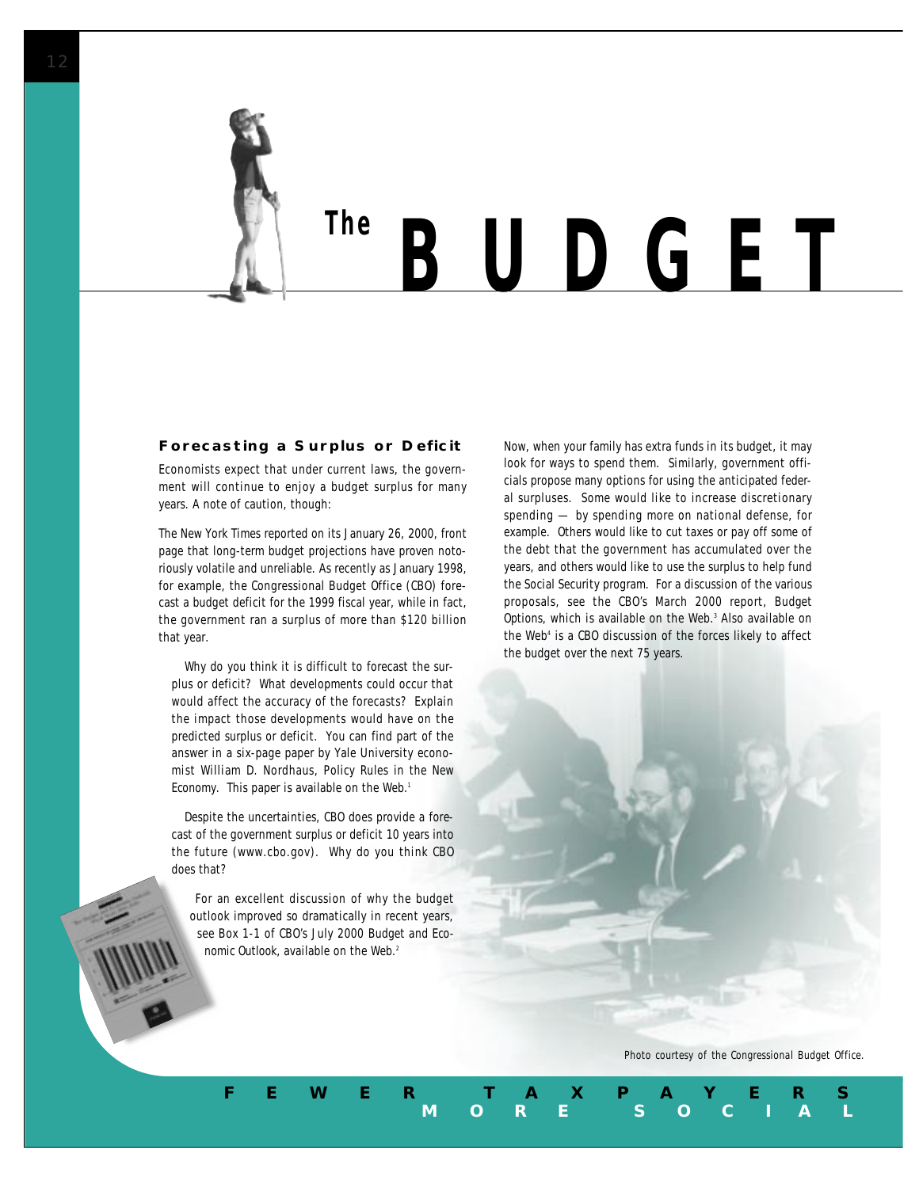

# *The BUDGET*

#### **Forecasting a Surplus or Deficit**

Economists expect that under current laws, the government will continue to enjoy a budget surplus for many years. A note of caution, though:

The New York Times reported on its January 26, 2000, front page that long-term budget projections have proven notoriously volatile and unreliable. As recently as January 1998, for example, the Congressional Budget Office (CBO) forecast a budget deficit for the 1999 fiscal year, while in fact, the government ran a surplus of more than \$120 billion that year.

Why do you think it is difficult to forecast the surplus or deficit? What developments could occur that would affect the accuracy of the forecasts? Explain the impact those developments would have on the predicted surplus or deficit. You can find part of the answer in a six-page paper by Yale University economist William D. Nordhaus, *Policy Rules in the New Economy*. This paper is available on the Web.<sup>1</sup>

Despite the uncertainties, CBO does provide a forecast of the government surplus or deficit 10 years into the future (www.cbo.gov). Why do you think CBO does that?

For an excellent discussion of why the budget outlook improved so dramatically in recent years, see Box 1-1 of CBO's July 2000 *Budget and Economic Outlook*, available on the Web.<sup>2</sup>

Now, when your family has extra funds in its budget, it may look for ways to spend them. Similarly, government officials propose many options for using the anticipated federal surpluses. Some would like to increase discretionary spending — by spending more on national defense, for example. Others would like to cut taxes or pay off some of the debt that the government has accumulated over the years, and others would like to use the surplus to help fund the Social Security program. For a discussion of the various proposals, see the CBO's March 2000 report, *Budget Options,* which is available on the Web.3 Also available on the Web<sup>4</sup> is a CBO discussion of the forces likely to affect the budget over the next 75 years.

*Photo courtesy of the Congressional Budget Office.*

**MORE SOCIAL** 

**FEWER TAXPAYERS**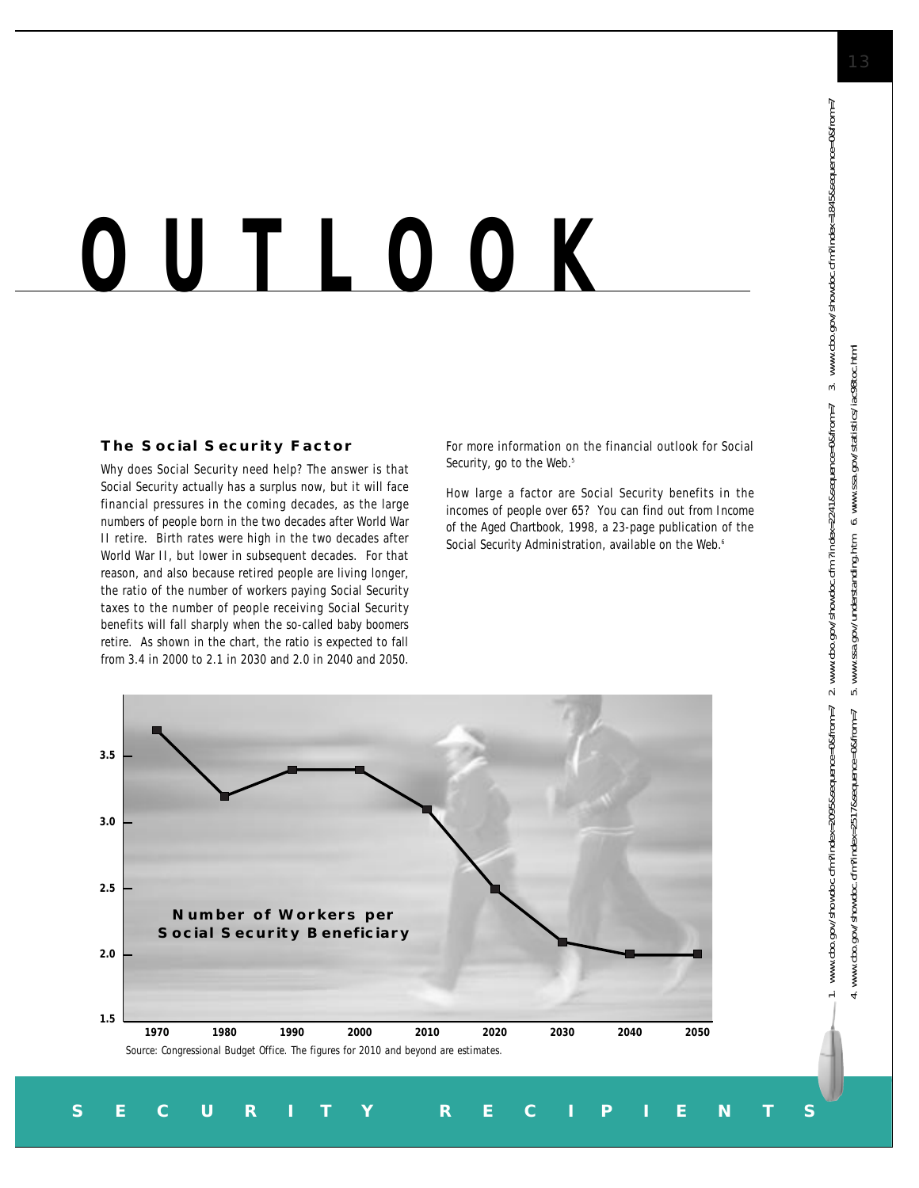# *OUTLOOK*

### **The Social Security Factor**

Why does Social Security need help? The answer is that Social Security actually has a surplus now, but it will face financial pressures in the coming decades, as the large numbers of people born in the two decades after World War II retire. Birth rates were high in the two decades after World War II, but lower in subsequent decades. For that reason, and also because retired people are living longer, the ratio of the number of workers paying Social Security taxes to the number of people receiving Social Security benefits will fall sharply when the so-called *baby boomers* retire. As shown in the chart, the ratio is expected to fall from 3.4 in 2000 to 2.1 in 2030 and 2.0 in 2040 and 2050.

For more information on the financial outlook for Social Security, go to the Web.<sup>5</sup>

How large a factor are Social Security benefits in the incomes of people over 65? You can find out from *Income of the Aged Chartbook, 1998,* a 23-page publication of the Social Security Administration, available on the Web.<sup>6</sup>



 **SECURITY RECIPIENTS**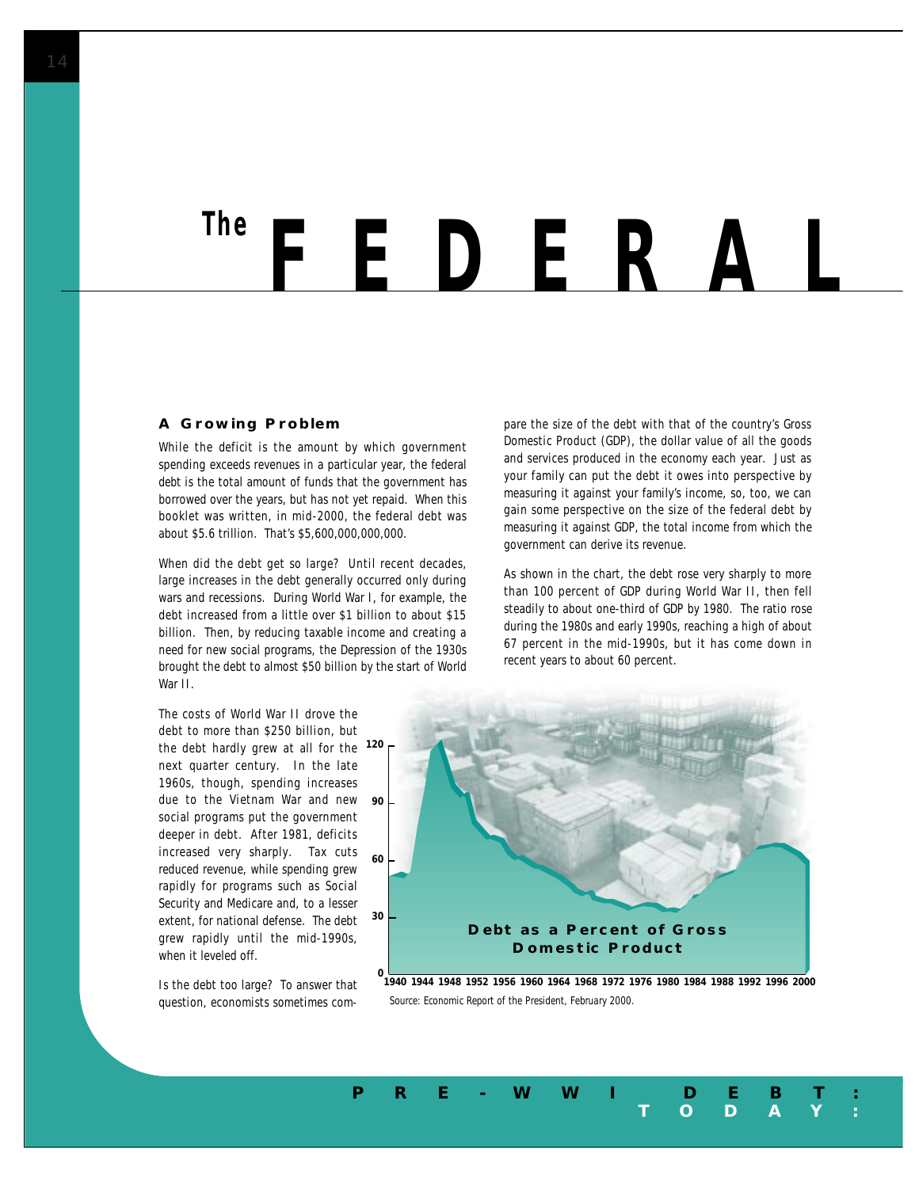## *FEDERAL The*

#### **A Growing Problem**

While the *deficit* is the amount by which government spending exceeds revenues in a particular year, the federal *debt* is the total amount of funds that the government has borrowed over the years, but has not yet repaid. When this booklet was written, in mid-2000, the federal debt was about \$5.6 trillion. That's \$5,600,000,000,000.

When did the debt get so large? Until recent decades, large increases in the debt generally occurred only during wars and recessions. During World War I, for example, the debt increased from a little over \$1 billion to about \$15 billion. Then, by reducing taxable income and creating a need for new social programs, the Depression of the 1930s brought the debt to almost \$50 billion by the start of World War II.

pare the size of the debt with that of the country's Gross Domestic Product (GDP), the dollar value of all the goods and services produced in the economy each year. Just as your family can put the debt it owes into perspective by measuring it against your family's income, so, too, we can gain some perspective on the size of the federal debt by measuring it against GDP, the total income from which the government can derive its revenue.

As shown in the chart, the debt rose very sharply to more than 100 percent of GDP during World War II, then fell steadily to about one-third of GDP by 1980. The ratio rose during the 1980s and early 1990s, reaching a high of about 67 percent in the mid-1990s, but it has come down in recent years to about 60 percent.

The costs of World War II drove the debt to more than \$250 billion, but the debt hardly grew at all for the **120** next quarter century. In the late 1960s, though, spending increases due to the Vietnam War and new social programs put the government deeper in debt. After 1981, deficits increased very sharply. Tax cuts reduced revenue, while spending grew rapidly for programs such as Social Security and Medicare and, to a lesser extent, for national defense. The debt grew rapidly until the mid-1990s, when it leveled off.

Is the debt too large? To answer that question, economists sometimes com-



*Source: Economic Report of the President, February 2000.*

**PRE-WWI DEBT:**

**TODAY:**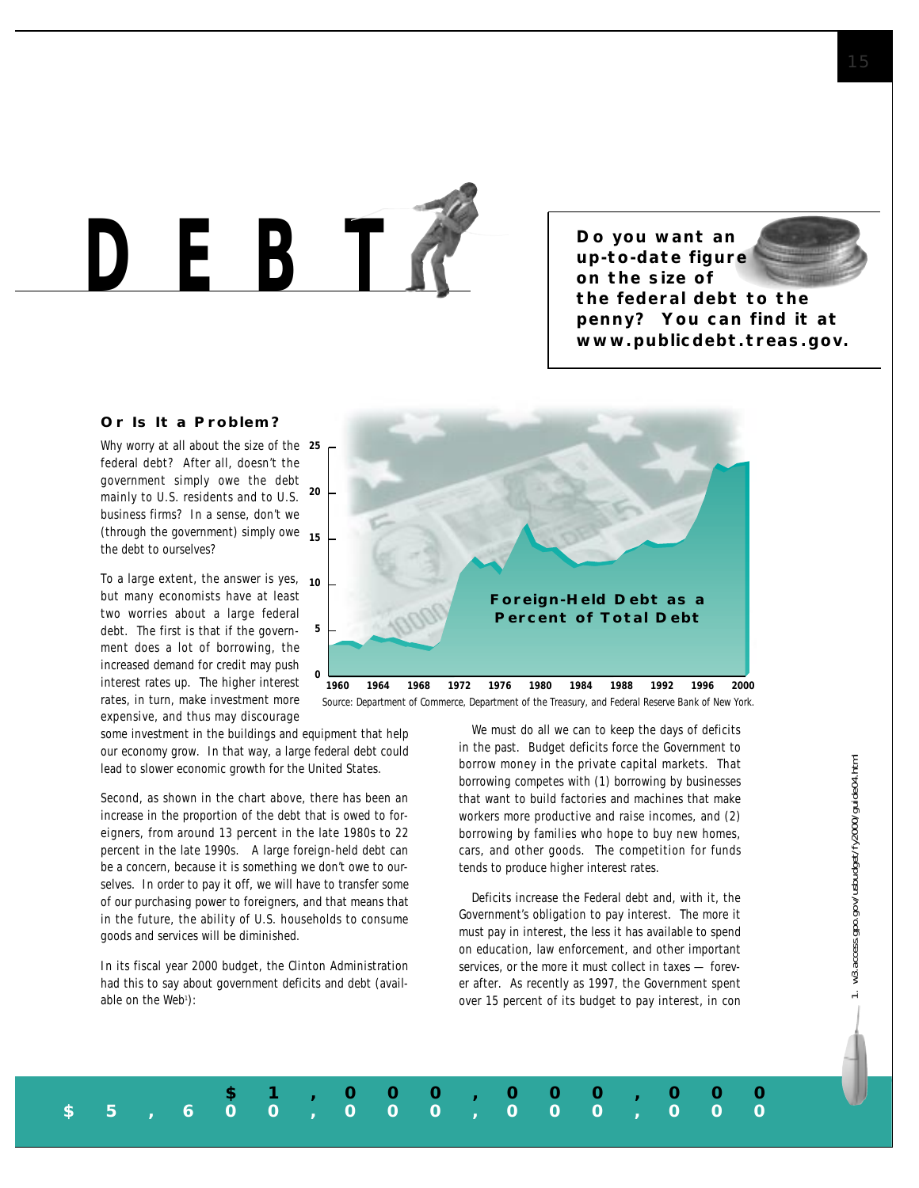*DEBT*

**Do you want an up-to-date figure on the size of the federal debt to the penny? You can find it at www.publicdebt.treas.gov.**

### **Or Is It a Problem?**

Why worry at all about the size of the **25** federal debt? After all, doesn't the government simply owe the debt mainly to U.S. residents and to U.S. business firms? In a sense, don't we (through the government) simply owe **15** the debt to ourselves? **20**

To a large extent, the answer is yes, **10** but many economists have at least two worries about a large federal debt. The first is that if the government does a lot of borrowing, the increased demand for credit may push interest rates up. The higher interest rates, in turn, make investment more expensive, and thus may discourage

some investment in the buildings and equipment that help our economy grow. In that way, a large federal debt could

**0**

**5**

Second, as shown in the chart above, there has been an increase in the proportion of the debt that is owed to foreigners, from around 13 percent in the late 1980s to 22 percent in the late 1990s. A large foreign-held debt can be a concern, because it is something we don't owe to ourselves. In order to pay it off, we will have to transfer some of our purchasing power to foreigners, and that means that in the future, the ability of U.S. households to consume goods and services will be diminished.

lead to slower economic growth for the United States.

In its fiscal year 2000 budget, the Clinton Administration had this to say about government deficits and debt (available on the Web<sup>1</sup>):



*Source: Department of Commerce, Department of the Treasury, and Federal Reserve Bank of New York.*

**\$1,000,000,000**

**\$5,600,000,000,000**

We must do all we can to keep the days of deficits in the past. Budget deficits force the Government to borrow money in the private capital markets. That borrowing competes with (1) borrowing by businesses that want to build factories and machines that make workers more productive and raise incomes, and (2) borrowing by families who hope to buy new homes, cars, and other goods. The competition for funds tends to produce higher interest rates.

Deficits increase the Federal debt and, with it, the Government's obligation to pay interest. The more it must pay in interest, the less it has available to spend on education, law enforcement, and other important services, or the more it must collect in taxes — forever after. As recently as 1997, the Government spent over 15 percent of its budget to pay interest, in con w3.access.gpo.gov/usbudget/fy2000/guide04.html 1. w3.access.gpo.gov/usbudget/fy2000/guide04.html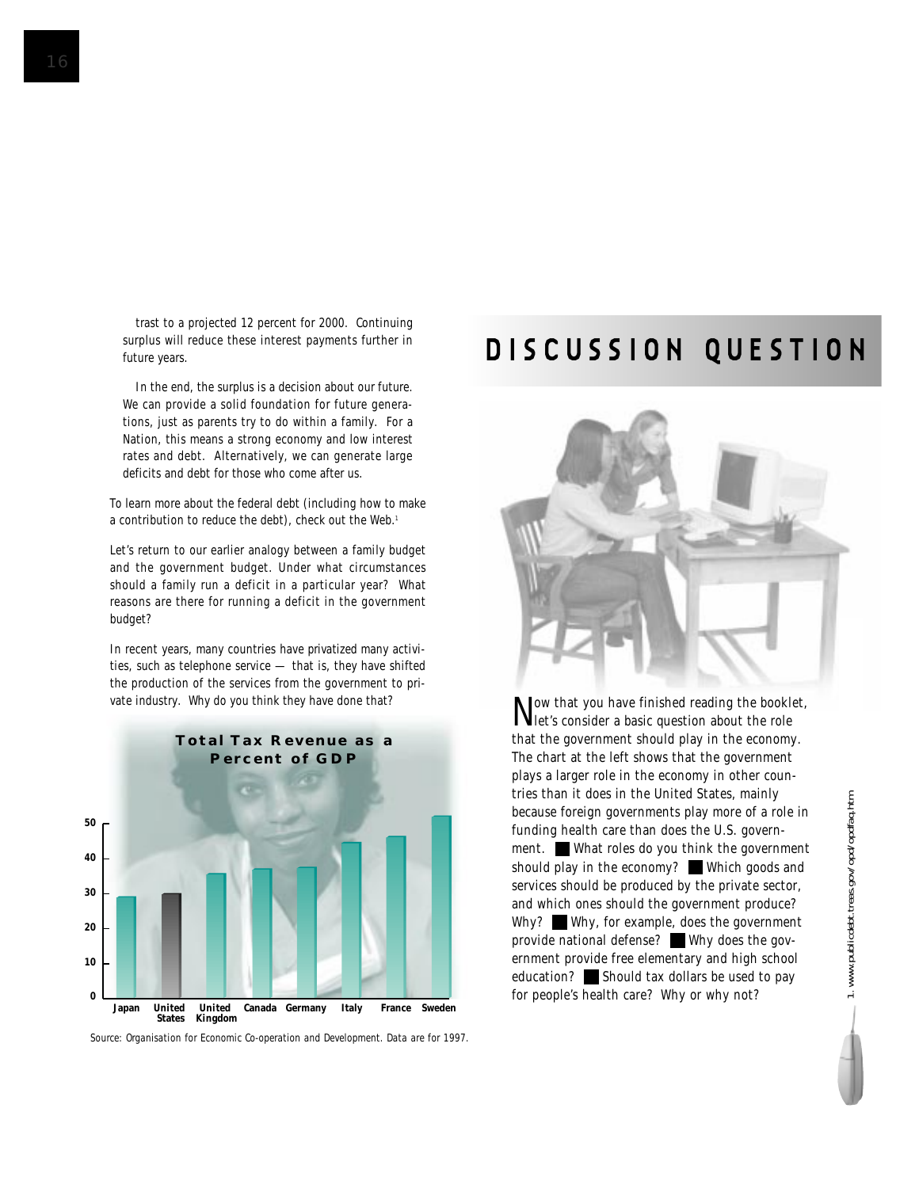trast to a projected 12 percent for 2000. Continuing surplus will reduce these interest payments further in future years.

In the end, the surplus is a decision about our future. We can provide a solid foundation for future generations, just as parents try to do within a family. For a Nation, this means a strong economy and low interest rates and debt. Alternatively, we can generate large deficits and debt for those who come after us.

To learn more about the federal debt (including how to make a contribution to reduce the debt), check out the Web.<sup>1</sup>

Let's return to our earlier analogy between a family budget and the government budget. Under what circumstances should a family run a deficit in a particular year? What reasons are there for running a deficit in the government budget?

In recent years, many countries have *privatized* many activities, such as telephone service — that is, they have shifted the production of the services from the government to private industry. Why do you think they have done that?



*Source: Organisation for Economic Co-operation and Development. Data are for 1997.*

## **DISCUSSION QUESTION**



Now that you have finished reading the booklet, let's consider a basic question about the role that the government should play in the economy. The chart at the left shows that the government plays a larger role in the economy in other countries than it does in the United States, mainly because foreign governments play more of a role in funding health care than does the U.S. government. What roles do you think the government should play in the economy? Which goods and services should be produced by the private sector, and which ones should the government produce? Why? Why, for example, does the government provide national defense? Why does the government provide free elementary and high school education? Should tax dollars be used to pay for people's health care? Why or why not?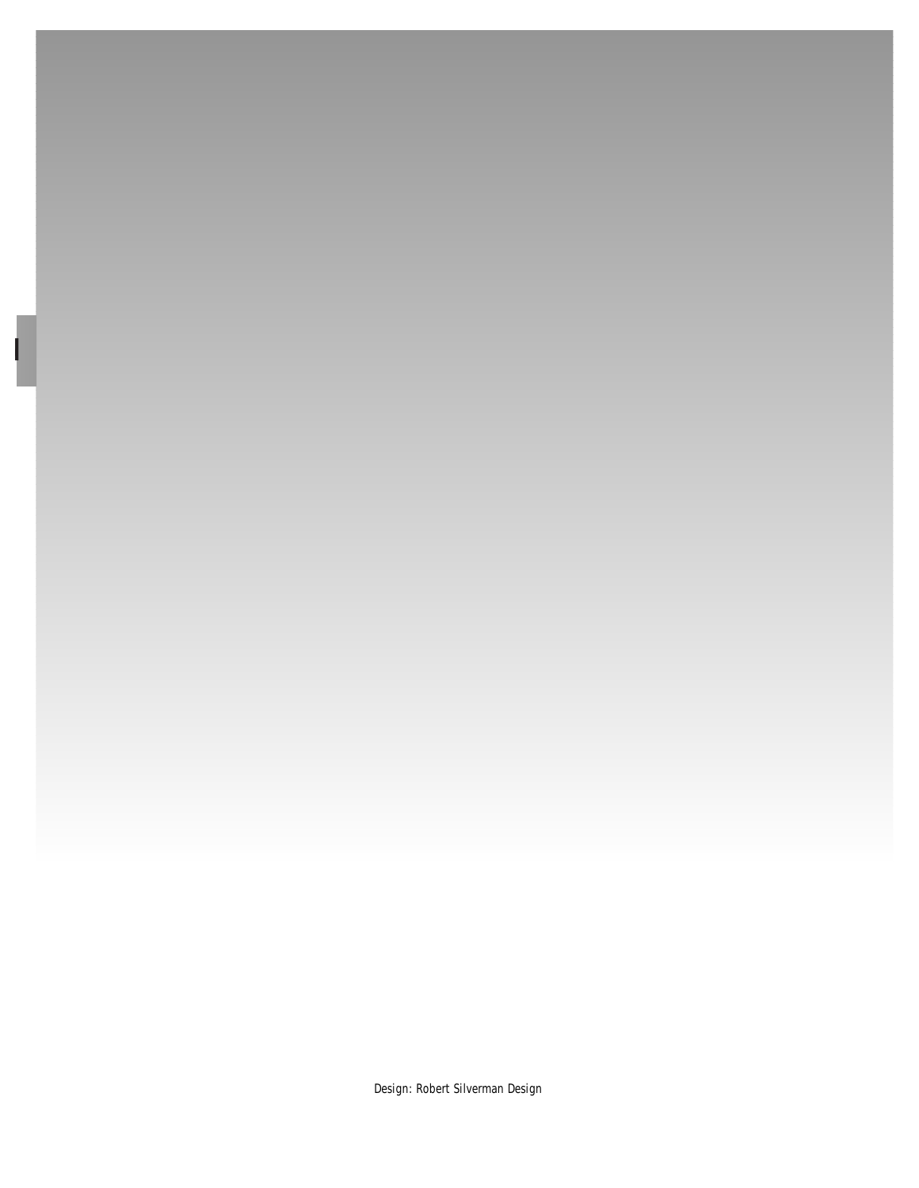

Design: Robert Silverman Design